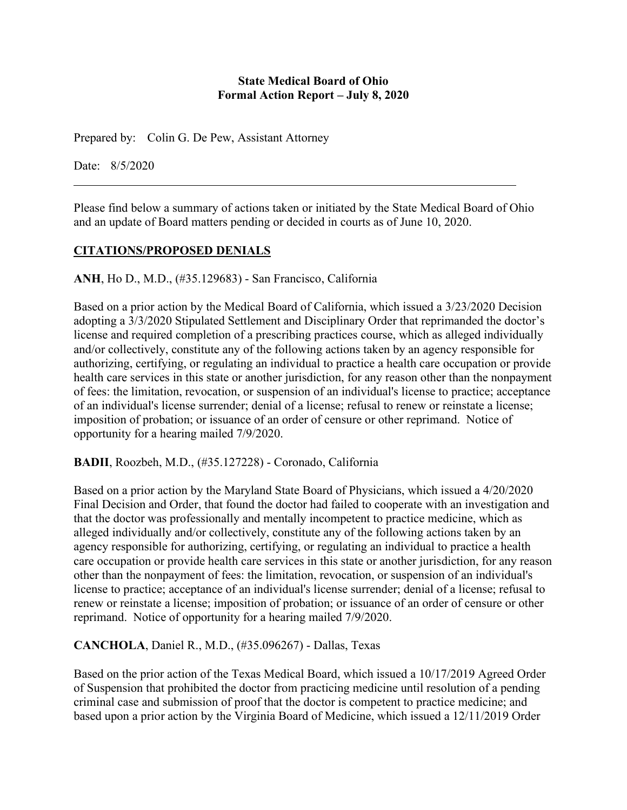### **State Medical Board of Ohio Formal Action Report – July 8, 2020**

Prepared by: Colin G. De Pew, Assistant Attorney

Date: 8/5/2020

Please find below a summary of actions taken or initiated by the State Medical Board of Ohio and an update of Board matters pending or decided in courts as of June 10, 2020.

# **CITATIONS/PROPOSED DENIALS**

**ANH**, Ho D., M.D., (#35.129683) - San Francisco, California

Based on a prior action by the Medical Board of California, which issued a 3/23/2020 Decision adopting a 3/3/2020 Stipulated Settlement and Disciplinary Order that reprimanded the doctor's license and required completion of a prescribing practices course, which as alleged individually and/or collectively, constitute any of the following actions taken by an agency responsible for authorizing, certifying, or regulating an individual to practice a health care occupation or provide health care services in this state or another jurisdiction, for any reason other than the nonpayment of fees: the limitation, revocation, or suspension of an individual's license to practice; acceptance of an individual's license surrender; denial of a license; refusal to renew or reinstate a license; imposition of probation; or issuance of an order of censure or other reprimand. Notice of opportunity for a hearing mailed 7/9/2020.

**BADII**, Roozbeh, M.D., (#35.127228) - Coronado, California

Based on a prior action by the Maryland State Board of Physicians, which issued a 4/20/2020 Final Decision and Order, that found the doctor had failed to cooperate with an investigation and that the doctor was professionally and mentally incompetent to practice medicine, which as alleged individually and/or collectively, constitute any of the following actions taken by an agency responsible for authorizing, certifying, or regulating an individual to practice a health care occupation or provide health care services in this state or another jurisdiction, for any reason other than the nonpayment of fees: the limitation, revocation, or suspension of an individual's license to practice; acceptance of an individual's license surrender; denial of a license; refusal to renew or reinstate a license; imposition of probation; or issuance of an order of censure or other reprimand. Notice of opportunity for a hearing mailed 7/9/2020.

**CANCHOLA**, Daniel R., M.D., (#35.096267) - Dallas, Texas

Based on the prior action of the Texas Medical Board, which issued a 10/17/2019 Agreed Order of Suspension that prohibited the doctor from practicing medicine until resolution of a pending criminal case and submission of proof that the doctor is competent to practice medicine; and based upon a prior action by the Virginia Board of Medicine, which issued a 12/11/2019 Order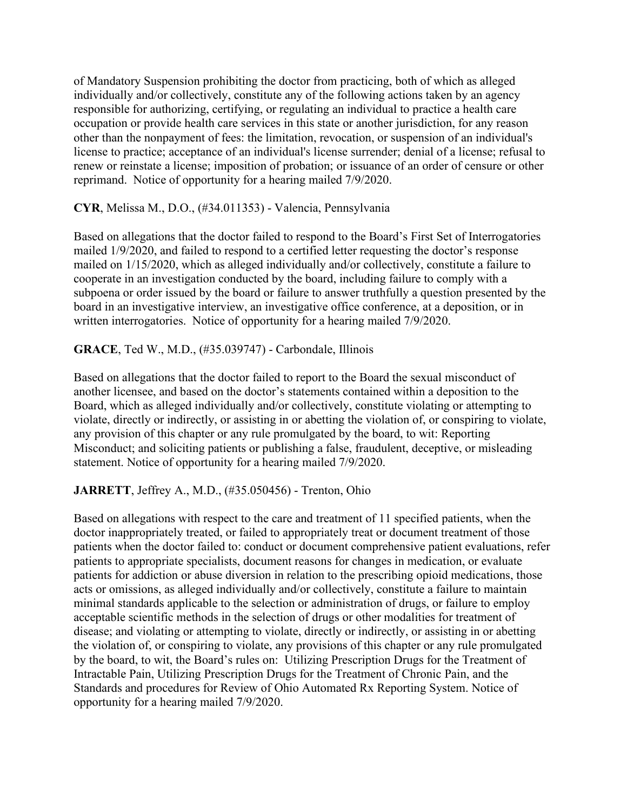of Mandatory Suspension prohibiting the doctor from practicing, both of which as alleged individually and/or collectively, constitute any of the following actions taken by an agency responsible for authorizing, certifying, or regulating an individual to practice a health care occupation or provide health care services in this state or another jurisdiction, for any reason other than the nonpayment of fees: the limitation, revocation, or suspension of an individual's license to practice; acceptance of an individual's license surrender; denial of a license; refusal to renew or reinstate a license; imposition of probation; or issuance of an order of censure or other reprimand. Notice of opportunity for a hearing mailed 7/9/2020.

# **CYR**, Melissa M., D.O., (#34.011353) - Valencia, Pennsylvania

Based on allegations that the doctor failed to respond to the Board's First Set of Interrogatories mailed 1/9/2020, and failed to respond to a certified letter requesting the doctor's response mailed on 1/15/2020, which as alleged individually and/or collectively, constitute a failure to cooperate in an investigation conducted by the board, including failure to comply with a subpoena or order issued by the board or failure to answer truthfully a question presented by the board in an investigative interview, an investigative office conference, at a deposition, or in written interrogatories. Notice of opportunity for a hearing mailed 7/9/2020.

# **GRACE**, Ted W., M.D., (#35.039747) - Carbondale, Illinois

Based on allegations that the doctor failed to report to the Board the sexual misconduct of another licensee, and based on the doctor's statements contained within a deposition to the Board, which as alleged individually and/or collectively, constitute violating or attempting to violate, directly or indirectly, or assisting in or abetting the violation of, or conspiring to violate, any provision of this chapter or any rule promulgated by the board, to wit: Reporting Misconduct; and soliciting patients or publishing a false, fraudulent, deceptive, or misleading statement. Notice of opportunity for a hearing mailed 7/9/2020.

# **JARRETT**, Jeffrey A., M.D., (#35.050456) - Trenton, Ohio

Based on allegations with respect to the care and treatment of 11 specified patients, when the doctor inappropriately treated, or failed to appropriately treat or document treatment of those patients when the doctor failed to: conduct or document comprehensive patient evaluations, refer patients to appropriate specialists, document reasons for changes in medication, or evaluate patients for addiction or abuse diversion in relation to the prescribing opioid medications, those acts or omissions, as alleged individually and/or collectively, constitute a failure to maintain minimal standards applicable to the selection or administration of drugs, or failure to employ acceptable scientific methods in the selection of drugs or other modalities for treatment of disease; and violating or attempting to violate, directly or indirectly, or assisting in or abetting the violation of, or conspiring to violate, any provisions of this chapter or any rule promulgated by the board, to wit, the Board's rules on: Utilizing Prescription Drugs for the Treatment of Intractable Pain, Utilizing Prescription Drugs for the Treatment of Chronic Pain, and the Standards and procedures for Review of Ohio Automated Rx Reporting System. Notice of opportunity for a hearing mailed 7/9/2020.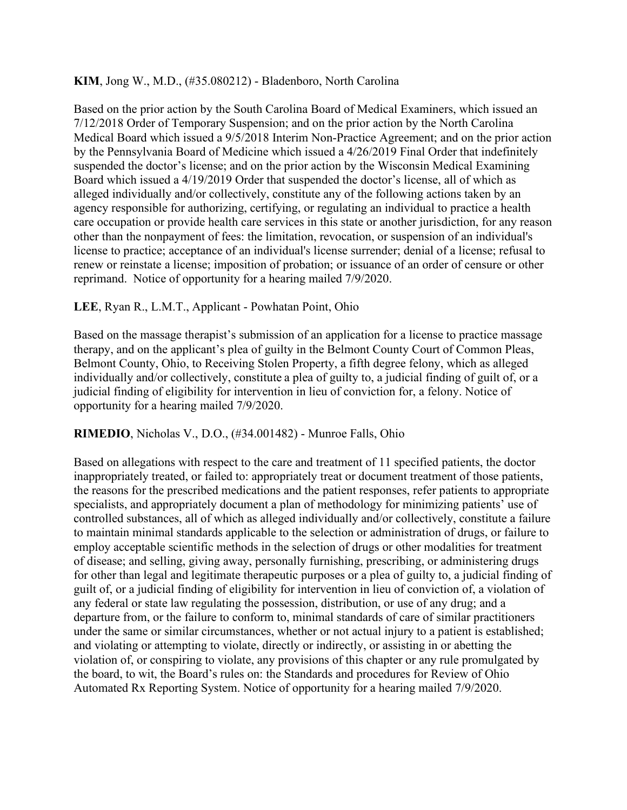### **KIM**, Jong W., M.D., (#35.080212) - Bladenboro, North Carolina

Based on the prior action by the South Carolina Board of Medical Examiners, which issued an 7/12/2018 Order of Temporary Suspension; and on the prior action by the North Carolina Medical Board which issued a 9/5/2018 Interim Non-Practice Agreement; and on the prior action by the Pennsylvania Board of Medicine which issued a 4/26/2019 Final Order that indefinitely suspended the doctor's license; and on the prior action by the Wisconsin Medical Examining Board which issued a 4/19/2019 Order that suspended the doctor's license, all of which as alleged individually and/or collectively, constitute any of the following actions taken by an agency responsible for authorizing, certifying, or regulating an individual to practice a health care occupation or provide health care services in this state or another jurisdiction, for any reason other than the nonpayment of fees: the limitation, revocation, or suspension of an individual's license to practice; acceptance of an individual's license surrender; denial of a license; refusal to renew or reinstate a license; imposition of probation; or issuance of an order of censure or other reprimand. Notice of opportunity for a hearing mailed 7/9/2020.

# **LEE**, Ryan R., L.M.T., Applicant - Powhatan Point, Ohio

Based on the massage therapist's submission of an application for a license to practice massage therapy, and on the applicant's plea of guilty in the Belmont County Court of Common Pleas, Belmont County, Ohio, to Receiving Stolen Property, a fifth degree felony, which as alleged individually and/or collectively, constitute a plea of guilty to, a judicial finding of guilt of, or a judicial finding of eligibility for intervention in lieu of conviction for, a felony. Notice of opportunity for a hearing mailed 7/9/2020.

# **RIMEDIO**, Nicholas V., D.O., (#34.001482) - Munroe Falls, Ohio

Based on allegations with respect to the care and treatment of 11 specified patients, the doctor inappropriately treated, or failed to: appropriately treat or document treatment of those patients, the reasons for the prescribed medications and the patient responses, refer patients to appropriate specialists, and appropriately document a plan of methodology for minimizing patients' use of controlled substances, all of which as alleged individually and/or collectively, constitute a failure to maintain minimal standards applicable to the selection or administration of drugs, or failure to employ acceptable scientific methods in the selection of drugs or other modalities for treatment of disease; and selling, giving away, personally furnishing, prescribing, or administering drugs for other than legal and legitimate therapeutic purposes or a plea of guilty to, a judicial finding of guilt of, or a judicial finding of eligibility for intervention in lieu of conviction of, a violation of any federal or state law regulating the possession, distribution, or use of any drug; and a departure from, or the failure to conform to, minimal standards of care of similar practitioners under the same or similar circumstances, whether or not actual injury to a patient is established; and violating or attempting to violate, directly or indirectly, or assisting in or abetting the violation of, or conspiring to violate, any provisions of this chapter or any rule promulgated by the board, to wit, the Board's rules on: the Standards and procedures for Review of Ohio Automated Rx Reporting System. Notice of opportunity for a hearing mailed 7/9/2020.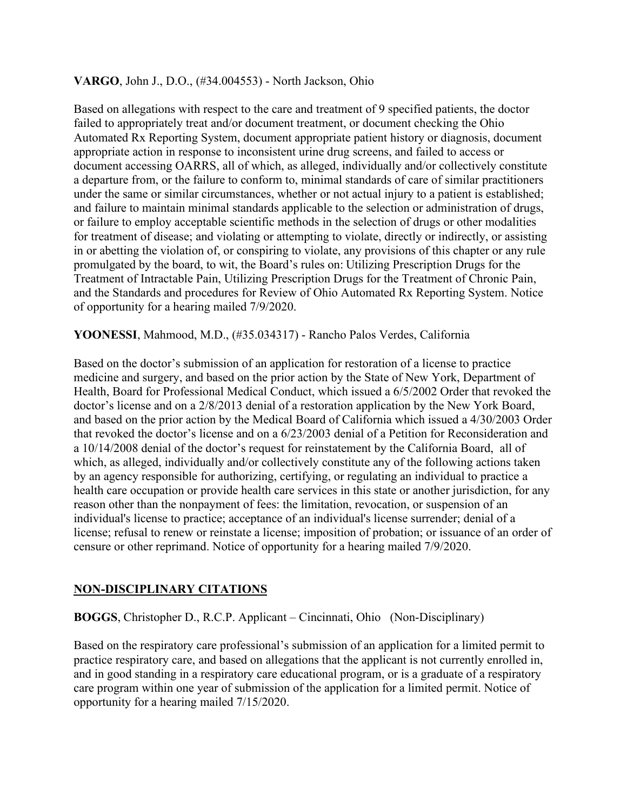### **VARGO**, John J., D.O., (#34.004553) - North Jackson, Ohio

Based on allegations with respect to the care and treatment of 9 specified patients, the doctor failed to appropriately treat and/or document treatment, or document checking the Ohio Automated Rx Reporting System, document appropriate patient history or diagnosis, document appropriate action in response to inconsistent urine drug screens, and failed to access or document accessing OARRS, all of which, as alleged, individually and/or collectively constitute a departure from, or the failure to conform to, minimal standards of care of similar practitioners under the same or similar circumstances, whether or not actual injury to a patient is established; and failure to maintain minimal standards applicable to the selection or administration of drugs, or failure to employ acceptable scientific methods in the selection of drugs or other modalities for treatment of disease; and violating or attempting to violate, directly or indirectly, or assisting in or abetting the violation of, or conspiring to violate, any provisions of this chapter or any rule promulgated by the board, to wit, the Board's rules on: Utilizing Prescription Drugs for the Treatment of Intractable Pain, Utilizing Prescription Drugs for the Treatment of Chronic Pain, and the Standards and procedures for Review of Ohio Automated Rx Reporting System. Notice of opportunity for a hearing mailed 7/9/2020.

### **YOONESSI**, Mahmood, M.D., (#35.034317) - Rancho Palos Verdes, California

Based on the doctor's submission of an application for restoration of a license to practice medicine and surgery, and based on the prior action by the State of New York, Department of Health, Board for Professional Medical Conduct, which issued a 6/5/2002 Order that revoked the doctor's license and on a 2/8/2013 denial of a restoration application by the New York Board, and based on the prior action by the Medical Board of California which issued a 4/30/2003 Order that revoked the doctor's license and on a 6/23/2003 denial of a Petition for Reconsideration and a 10/14/2008 denial of the doctor's request for reinstatement by the California Board, all of which, as alleged, individually and/or collectively constitute any of the following actions taken by an agency responsible for authorizing, certifying, or regulating an individual to practice a health care occupation or provide health care services in this state or another jurisdiction, for any reason other than the nonpayment of fees: the limitation, revocation, or suspension of an individual's license to practice; acceptance of an individual's license surrender; denial of a license; refusal to renew or reinstate a license; imposition of probation; or issuance of an order of censure or other reprimand. Notice of opportunity for a hearing mailed 7/9/2020.

# **NON-DISCIPLINARY CITATIONS**

#### **BOGGS**, Christopher D., R.C.P. Applicant – Cincinnati, Ohio (Non-Disciplinary)

Based on the respiratory care professional's submission of an application for a limited permit to practice respiratory care, and based on allegations that the applicant is not currently enrolled in, and in good standing in a respiratory care educational program, or is a graduate of a respiratory care program within one year of submission of the application for a limited permit. Notice of opportunity for a hearing mailed 7/15/2020.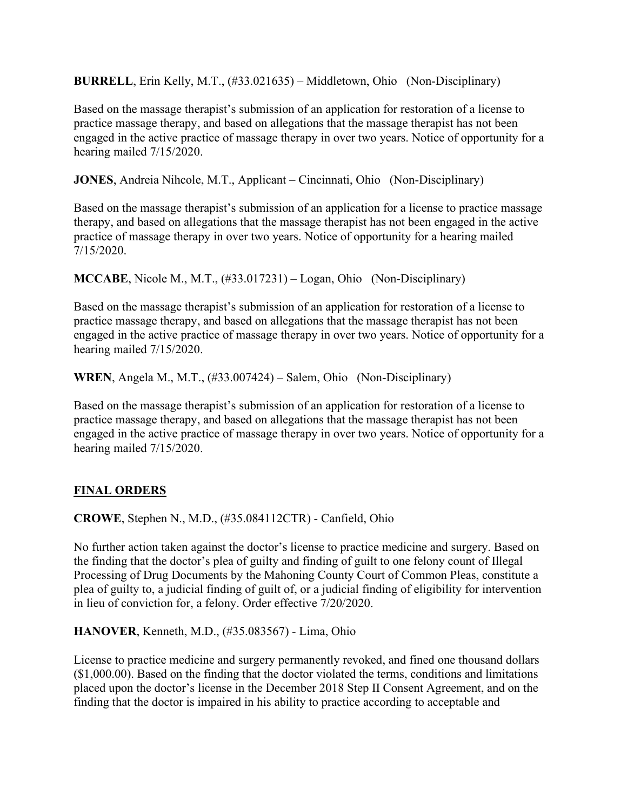**BURRELL**, Erin Kelly, M.T., (#33.021635) – Middletown, Ohio (Non-Disciplinary)

Based on the massage therapist's submission of an application for restoration of a license to practice massage therapy, and based on allegations that the massage therapist has not been engaged in the active practice of massage therapy in over two years. Notice of opportunity for a hearing mailed 7/15/2020.

**JONES**, Andreia Nihcole, M.T., Applicant – Cincinnati, Ohio (Non-Disciplinary)

Based on the massage therapist's submission of an application for a license to practice massage therapy, and based on allegations that the massage therapist has not been engaged in the active practice of massage therapy in over two years. Notice of opportunity for a hearing mailed 7/15/2020.

**MCCABE**, Nicole M., M.T., (#33.017231) – Logan, Ohio (Non-Disciplinary)

Based on the massage therapist's submission of an application for restoration of a license to practice massage therapy, and based on allegations that the massage therapist has not been engaged in the active practice of massage therapy in over two years. Notice of opportunity for a hearing mailed 7/15/2020.

**WREN**, Angela M., M.T., (#33.007424) – Salem, Ohio (Non-Disciplinary)

Based on the massage therapist's submission of an application for restoration of a license to practice massage therapy, and based on allegations that the massage therapist has not been engaged in the active practice of massage therapy in over two years. Notice of opportunity for a hearing mailed 7/15/2020.

# **FINAL ORDERS**

**CROWE**, Stephen N., M.D., (#35.084112CTR) - Canfield, Ohio

No further action taken against the doctor's license to practice medicine and surgery. Based on the finding that the doctor's plea of guilty and finding of guilt to one felony count of Illegal Processing of Drug Documents by the Mahoning County Court of Common Pleas, constitute a plea of guilty to, a judicial finding of guilt of, or a judicial finding of eligibility for intervention in lieu of conviction for, a felony. Order effective 7/20/2020.

**HANOVER**, Kenneth, M.D., (#35.083567) - Lima, Ohio

License to practice medicine and surgery permanently revoked, and fined one thousand dollars (\$1,000.00). Based on the finding that the doctor violated the terms, conditions and limitations placed upon the doctor's license in the December 2018 Step II Consent Agreement, and on the finding that the doctor is impaired in his ability to practice according to acceptable and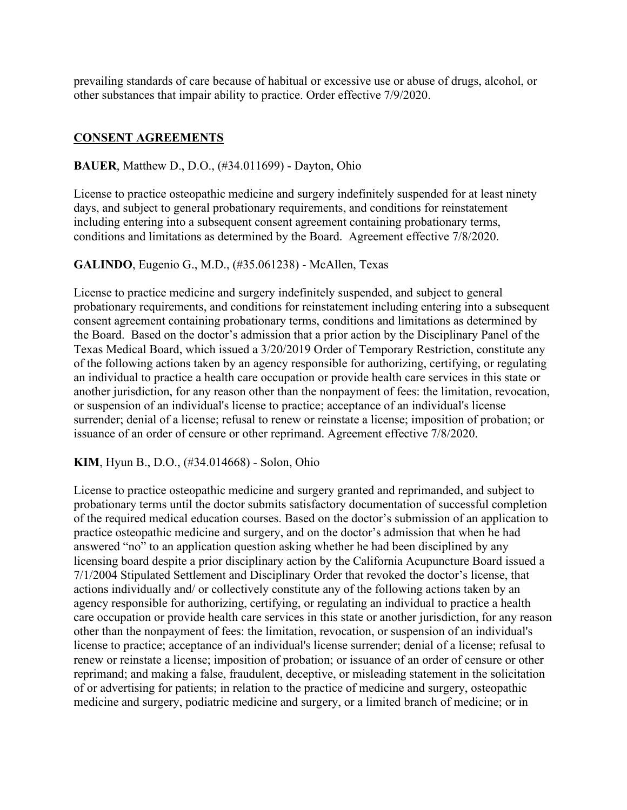prevailing standards of care because of habitual or excessive use or abuse of drugs, alcohol, or other substances that impair ability to practice. Order effective 7/9/2020.

# **CONSENT AGREEMENTS**

### **BAUER**, Matthew D., D.O., (#34.011699) - Dayton, Ohio

License to practice osteopathic medicine and surgery indefinitely suspended for at least ninety days, and subject to general probationary requirements, and conditions for reinstatement including entering into a subsequent consent agreement containing probationary terms, conditions and limitations as determined by the Board. Agreement effective 7/8/2020.

### **GALINDO**, Eugenio G., M.D., (#35.061238) - McAllen, Texas

License to practice medicine and surgery indefinitely suspended, and subject to general probationary requirements, and conditions for reinstatement including entering into a subsequent consent agreement containing probationary terms, conditions and limitations as determined by the Board. Based on the doctor's admission that a prior action by the Disciplinary Panel of the Texas Medical Board, which issued a 3/20/2019 Order of Temporary Restriction, constitute any of the following actions taken by an agency responsible for authorizing, certifying, or regulating an individual to practice a health care occupation or provide health care services in this state or another jurisdiction, for any reason other than the nonpayment of fees: the limitation, revocation, or suspension of an individual's license to practice; acceptance of an individual's license surrender; denial of a license; refusal to renew or reinstate a license; imposition of probation; or issuance of an order of censure or other reprimand. Agreement effective 7/8/2020.

#### **KIM**, Hyun B., D.O., (#34.014668) - Solon, Ohio

License to practice osteopathic medicine and surgery granted and reprimanded, and subject to probationary terms until the doctor submits satisfactory documentation of successful completion of the required medical education courses. Based on the doctor's submission of an application to practice osteopathic medicine and surgery, and on the doctor's admission that when he had answered "no" to an application question asking whether he had been disciplined by any licensing board despite a prior disciplinary action by the California Acupuncture Board issued a 7/1/2004 Stipulated Settlement and Disciplinary Order that revoked the doctor's license, that actions individually and/ or collectively constitute any of the following actions taken by an agency responsible for authorizing, certifying, or regulating an individual to practice a health care occupation or provide health care services in this state or another jurisdiction, for any reason other than the nonpayment of fees: the limitation, revocation, or suspension of an individual's license to practice; acceptance of an individual's license surrender; denial of a license; refusal to renew or reinstate a license; imposition of probation; or issuance of an order of censure or other reprimand; and making a false, fraudulent, deceptive, or misleading statement in the solicitation of or advertising for patients; in relation to the practice of medicine and surgery, osteopathic medicine and surgery, podiatric medicine and surgery, or a limited branch of medicine; or in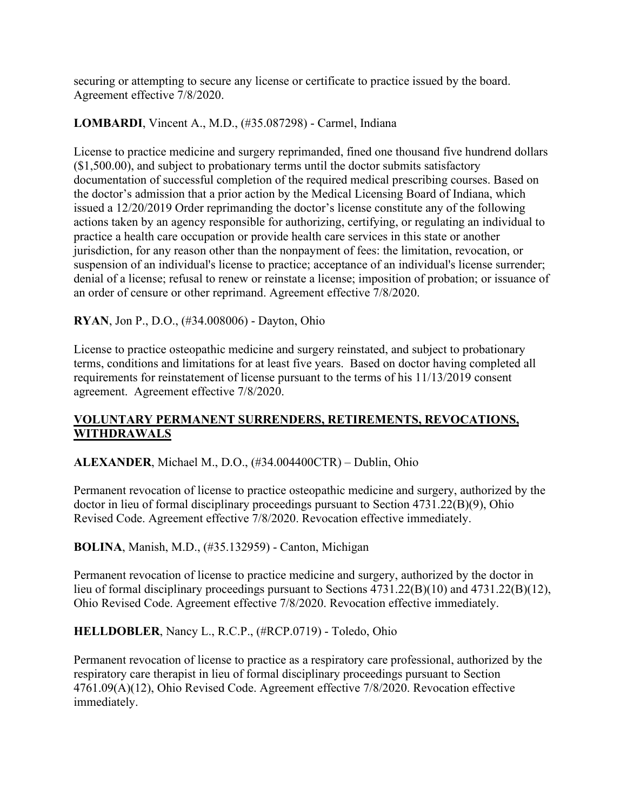securing or attempting to secure any license or certificate to practice issued by the board. Agreement effective 7/8/2020.

# **LOMBARDI**, Vincent A., M.D., (#35.087298) - Carmel, Indiana

License to practice medicine and surgery reprimanded, fined one thousand five hundrend dollars (\$1,500.00), and subject to probationary terms until the doctor submits satisfactory documentation of successful completion of the required medical prescribing courses. Based on the doctor's admission that a prior action by the Medical Licensing Board of Indiana, which issued a 12/20/2019 Order reprimanding the doctor's license constitute any of the following actions taken by an agency responsible for authorizing, certifying, or regulating an individual to practice a health care occupation or provide health care services in this state or another jurisdiction, for any reason other than the nonpayment of fees: the limitation, revocation, or suspension of an individual's license to practice; acceptance of an individual's license surrender; denial of a license; refusal to renew or reinstate a license; imposition of probation; or issuance of an order of censure or other reprimand. Agreement effective 7/8/2020.

# **RYAN**, Jon P., D.O., (#34.008006) - Dayton, Ohio

License to practice osteopathic medicine and surgery reinstated, and subject to probationary terms, conditions and limitations for at least five years. Based on doctor having completed all requirements for reinstatement of license pursuant to the terms of his 11/13/2019 consent agreement. Agreement effective 7/8/2020.

# **VOLUNTARY PERMANENT SURRENDERS, RETIREMENTS, REVOCATIONS, WITHDRAWALS**

# **ALEXANDER**, Michael M., D.O., (#34.004400CTR) – Dublin, Ohio

Permanent revocation of license to practice osteopathic medicine and surgery, authorized by the doctor in lieu of formal disciplinary proceedings pursuant to Section 4731.22(B)(9), Ohio Revised Code. Agreement effective 7/8/2020. Revocation effective immediately.

# **BOLINA**, Manish, M.D., (#35.132959) - Canton, Michigan

Permanent revocation of license to practice medicine and surgery, authorized by the doctor in lieu of formal disciplinary proceedings pursuant to Sections 4731.22(B)(10) and 4731.22(B)(12), Ohio Revised Code. Agreement effective 7/8/2020. Revocation effective immediately.

# **HELLDOBLER**, Nancy L., R.C.P., (#RCP.0719) - Toledo, Ohio

Permanent revocation of license to practice as a respiratory care professional, authorized by the respiratory care therapist in lieu of formal disciplinary proceedings pursuant to Section 4761.09(A)(12), Ohio Revised Code. Agreement effective 7/8/2020. Revocation effective immediately.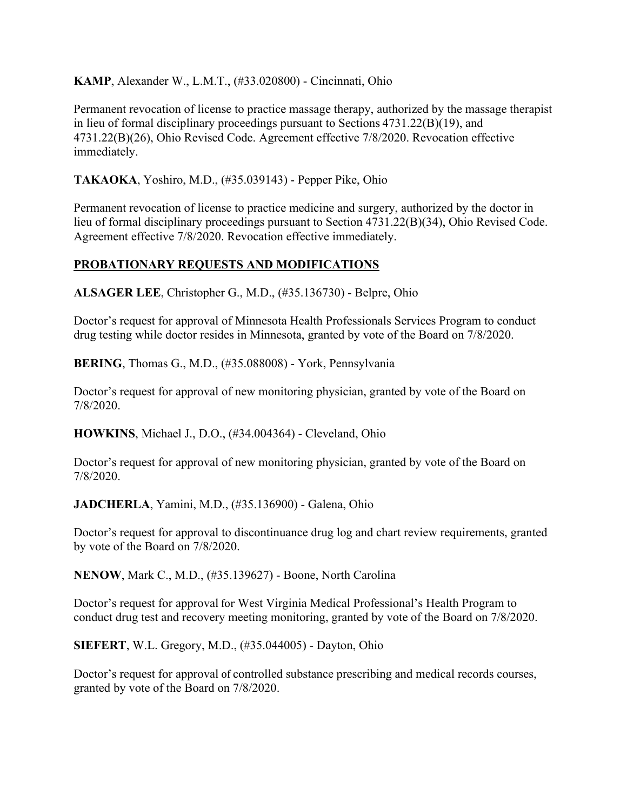**KAMP**, Alexander W., L.M.T., (#33.020800) - Cincinnati, Ohio

Permanent revocation of license to practice massage therapy, authorized by the massage therapist in lieu of formal disciplinary proceedings pursuant to Sections 4731.22(B)(19), and 4731.22(B)(26), Ohio Revised Code. Agreement effective 7/8/2020. Revocation effective immediately.

**TAKAOKA**, Yoshiro, M.D., (#35.039143) - Pepper Pike, Ohio

Permanent revocation of license to practice medicine and surgery, authorized by the doctor in lieu of formal disciplinary proceedings pursuant to Section 4731.22(B)(34), Ohio Revised Code. Agreement effective 7/8/2020. Revocation effective immediately.

# **PROBATIONARY REQUESTS AND MODIFICATIONS**

**ALSAGER LEE**, Christopher G., M.D., (#35.136730) - Belpre, Ohio

Doctor's request for approval of Minnesota Health Professionals Services Program to conduct drug testing while doctor resides in Minnesota, granted by vote of the Board on 7/8/2020.

**BERING**, Thomas G., M.D., (#35.088008) - York, Pennsylvania

Doctor's request for approval of new monitoring physician, granted by vote of the Board on 7/8/2020.

**HOWKINS**, Michael J., D.O., (#34.004364) - Cleveland, Ohio

Doctor's request for approval of new monitoring physician, granted by vote of the Board on 7/8/2020.

**JADCHERLA**, Yamini, M.D., (#35.136900) - Galena, Ohio

Doctor's request for approval to discontinuance drug log and chart review requirements, granted by vote of the Board on 7/8/2020.

**NENOW**, Mark C., M.D., (#35.139627) - Boone, North Carolina

Doctor's request for approval for West Virginia Medical Professional's Health Program to conduct drug test and recovery meeting monitoring, granted by vote of the Board on 7/8/2020.

**SIEFERT**, W.L. Gregory, M.D., (#35.044005) - Dayton, Ohio

Doctor's request for approval of controlled substance prescribing and medical records courses, granted by vote of the Board on 7/8/2020.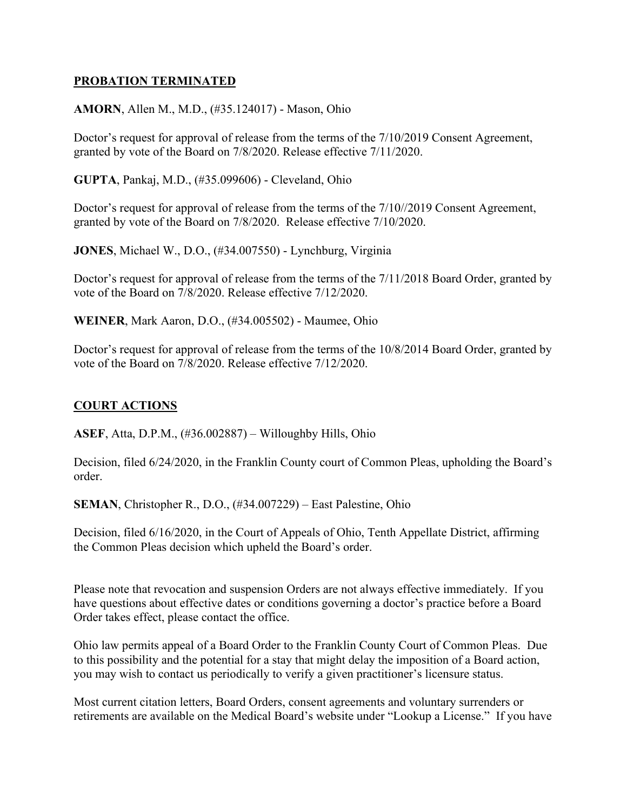### **PROBATION TERMINATED**

#### **AMORN**, Allen M., M.D., (#35.124017) - Mason, Ohio

Doctor's request for approval of release from the terms of the 7/10/2019 Consent Agreement, granted by vote of the Board on 7/8/2020. Release effective 7/11/2020.

**GUPTA**, Pankaj, M.D., (#35.099606) - Cleveland, Ohio

Doctor's request for approval of release from the terms of the 7/10//2019 Consent Agreement, granted by vote of the Board on 7/8/2020. Release effective 7/10/2020.

**JONES**, Michael W., D.O., (#34.007550) - Lynchburg, Virginia

Doctor's request for approval of release from the terms of the 7/11/2018 Board Order, granted by vote of the Board on 7/8/2020. Release effective 7/12/2020.

**WEINER**, Mark Aaron, D.O., (#34.005502) - Maumee, Ohio

Doctor's request for approval of release from the terms of the 10/8/2014 Board Order, granted by vote of the Board on 7/8/2020. Release effective 7/12/2020.

# **COURT ACTIONS**

**ASEF**, Atta, D.P.M., (#36.002887) – Willoughby Hills, Ohio

Decision, filed 6/24/2020, in the Franklin County court of Common Pleas, upholding the Board's order.

**SEMAN**, Christopher R., D.O., (#34.007229) – East Palestine, Ohio

Decision, filed 6/16/2020, in the Court of Appeals of Ohio, Tenth Appellate District, affirming the Common Pleas decision which upheld the Board's order.

Please note that revocation and suspension Orders are not always effective immediately. If you have questions about effective dates or conditions governing a doctor's practice before a Board Order takes effect, please contact the office.

Ohio law permits appeal of a Board Order to the Franklin County Court of Common Pleas. Due to this possibility and the potential for a stay that might delay the imposition of a Board action, you may wish to contact us periodically to verify a given practitioner's licensure status.

Most current citation letters, Board Orders, consent agreements and voluntary surrenders or retirements are available on the Medical Board's website under "Lookup a License." If you have